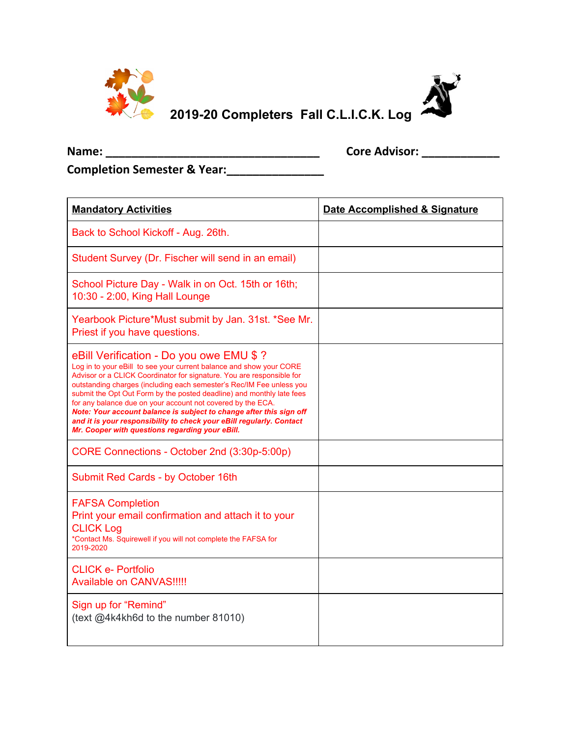





 $\overline{\phantom{0}}$ 

**Completion Semester & Year:\_\_\_\_\_\_\_\_\_\_\_\_\_\_\_**

| <b>Mandatory Activities</b>                                                                                                                                                                                                                                                                                                                                                                                                                                                                                                                                                                                | Date Accomplished & Signature |
|------------------------------------------------------------------------------------------------------------------------------------------------------------------------------------------------------------------------------------------------------------------------------------------------------------------------------------------------------------------------------------------------------------------------------------------------------------------------------------------------------------------------------------------------------------------------------------------------------------|-------------------------------|
| Back to School Kickoff - Aug. 26th.                                                                                                                                                                                                                                                                                                                                                                                                                                                                                                                                                                        |                               |
| Student Survey (Dr. Fischer will send in an email)                                                                                                                                                                                                                                                                                                                                                                                                                                                                                                                                                         |                               |
| School Picture Day - Walk in on Oct. 15th or 16th;<br>10:30 - 2:00, King Hall Lounge                                                                                                                                                                                                                                                                                                                                                                                                                                                                                                                       |                               |
| Yearbook Picture*Must submit by Jan. 31st. *See Mr.<br>Priest if you have questions.                                                                                                                                                                                                                                                                                                                                                                                                                                                                                                                       |                               |
| eBill Verification - Do you owe EMU \$ ?<br>Log in to your eBill to see your current balance and show your CORE<br>Advisor or a CLICK Coordinator for signature. You are responsible for<br>outstanding charges (including each semester's Rec/IM Fee unless you<br>submit the Opt Out Form by the posted deadline) and monthly late fees<br>for any balance due on your account not covered by the ECA.<br>Note: Your account balance is subject to change after this sign off<br>and it is your responsibility to check your eBill regularly. Contact<br>Mr. Cooper with questions regarding your eBill. |                               |
| CORE Connections - October 2nd (3:30p-5:00p)                                                                                                                                                                                                                                                                                                                                                                                                                                                                                                                                                               |                               |
| Submit Red Cards - by October 16th                                                                                                                                                                                                                                                                                                                                                                                                                                                                                                                                                                         |                               |
| <b>FAFSA Completion</b><br>Print your email confirmation and attach it to your<br><b>CLICK Log</b><br>*Contact Ms. Squirewell if you will not complete the FAFSA for<br>2019-2020                                                                                                                                                                                                                                                                                                                                                                                                                          |                               |
| <b>CLICK e- Portfolio</b><br><b>Available on CANVAS!!!!!</b>                                                                                                                                                                                                                                                                                                                                                                                                                                                                                                                                               |                               |
| Sign up for "Remind"<br>(text @4k4kh6d to the number 81010)                                                                                                                                                                                                                                                                                                                                                                                                                                                                                                                                                |                               |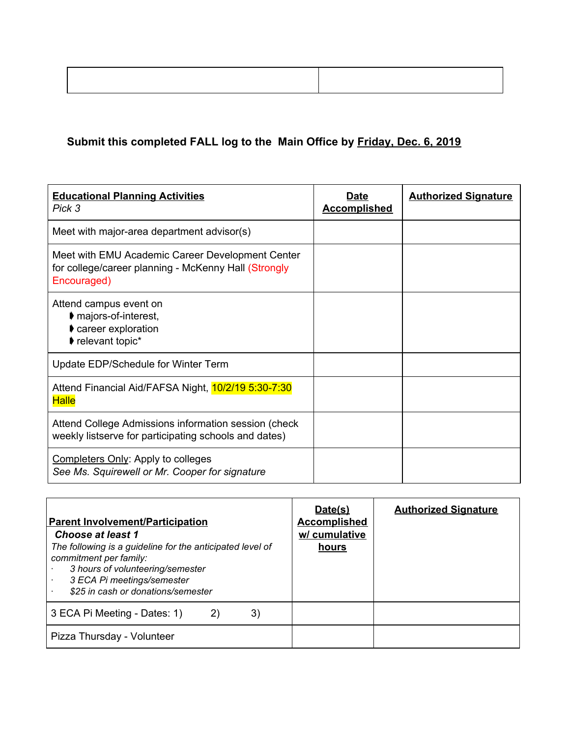## **Submit this completed FALL log to the Main Office by Friday, Dec. 6, 2019**

| <b>Educational Planning Activities</b><br>Pick 3                                                                        | Date<br><b>Accomplished</b> | <b>Authorized Signature</b> |
|-------------------------------------------------------------------------------------------------------------------------|-----------------------------|-----------------------------|
| Meet with major-area department advisor(s)                                                                              |                             |                             |
| Meet with EMU Academic Career Development Center<br>for college/career planning - McKenny Hall (Strongly<br>Encouraged) |                             |                             |
| Attend campus event on<br>♦ majors-of-interest,<br>career exploration<br>relevant topic*                                |                             |                             |
| Update EDP/Schedule for Winter Term                                                                                     |                             |                             |
| Attend Financial Aid/FAFSA Night, 10/2/19 5:30-7:30<br><b>Halle</b>                                                     |                             |                             |
| Attend College Admissions information session (check<br>weekly listserve for participating schools and dates)           |                             |                             |
| <b>Completers Only: Apply to colleges</b><br>See Ms. Squirewell or Mr. Cooper for signature                             |                             |                             |

| <b>Parent Involvement/Participation</b><br>Choose at least 1<br>The following is a guideline for the anticipated level of<br>commitment per family:<br>3 hours of volunteering/semester<br>3 ECA Pi meetings/semester<br>\$25 in cash or donations/semester | Date(s)<br><b>Accomplished</b><br>w/ cumulative<br>hours | <b>Authorized Signature</b> |
|-------------------------------------------------------------------------------------------------------------------------------------------------------------------------------------------------------------------------------------------------------------|----------------------------------------------------------|-----------------------------|
| 3)<br>3 ECA Pi Meeting - Dates: 1)<br>2)                                                                                                                                                                                                                    |                                                          |                             |
| Pizza Thursday - Volunteer                                                                                                                                                                                                                                  |                                                          |                             |